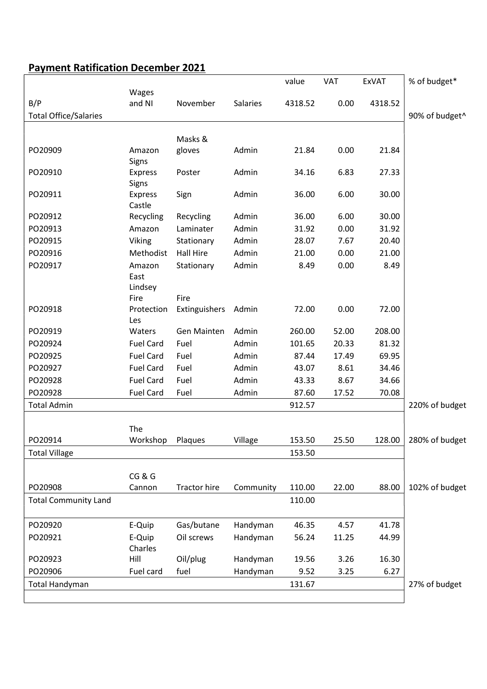## Payment Ratification December 2021

|                              |                    |                       |           | value   | VAT   | <b>ExVAT</b> | % of budget*   |
|------------------------------|--------------------|-----------------------|-----------|---------|-------|--------------|----------------|
|                              | Wages              |                       |           |         |       |              |                |
| B/P                          | and NI             | November              | Salaries  | 4318.52 | 0.00  | 4318.52      |                |
| <b>Total Office/Salaries</b> |                    |                       |           |         |       |              | 90% of budget^ |
|                              |                    |                       |           |         |       |              |                |
| PO20909                      | Amazon             | Masks &               | Admin     |         | 0.00  |              |                |
|                              | Signs              | gloves                |           | 21.84   |       | 21.84        |                |
| PO20910                      | <b>Express</b>     | Poster                | Admin     | 34.16   | 6.83  | 27.33        |                |
|                              | Signs              |                       |           |         |       |              |                |
| PO20911                      | <b>Express</b>     | Sign                  | Admin     | 36.00   | 6.00  | 30.00        |                |
|                              | Castle             |                       |           |         |       |              |                |
| PO20912                      | Recycling          | Recycling             | Admin     | 36.00   | 6.00  | 30.00        |                |
| PO20913                      | Amazon             | Laminater             | Admin     | 31.92   | 0.00  | 31.92        |                |
| PO20915                      | Viking             | Stationary            | Admin     | 28.07   | 7.67  | 20.40        |                |
| PO20916                      | Methodist          | <b>Hall Hire</b>      | Admin     | 21.00   | 0.00  | 21.00        |                |
| PO20917                      | Amazon             | Stationary            | Admin     | 8.49    | 0.00  | 8.49         |                |
|                              | East               |                       |           |         |       |              |                |
|                              | Lindsey            |                       |           |         |       |              |                |
| PO20918                      | Fire<br>Protection | Fire<br>Extinguishers | Admin     | 72.00   | 0.00  | 72.00        |                |
|                              | Les                |                       |           |         |       |              |                |
| PO20919                      | Waters             | Gen Mainten           | Admin     | 260.00  | 52.00 | 208.00       |                |
| PO20924                      | <b>Fuel Card</b>   | Fuel                  | Admin     | 101.65  | 20.33 | 81.32        |                |
| PO20925                      | <b>Fuel Card</b>   | Fuel                  | Admin     | 87.44   | 17.49 | 69.95        |                |
| PO20927                      | <b>Fuel Card</b>   | Fuel                  | Admin     | 43.07   | 8.61  | 34.46        |                |
| PO20928                      | <b>Fuel Card</b>   | Fuel                  | Admin     | 43.33   | 8.67  | 34.66        |                |
| PO20928                      | <b>Fuel Card</b>   | Fuel                  | Admin     | 87.60   | 17.52 | 70.08        |                |
| <b>Total Admin</b>           |                    |                       |           | 912.57  |       |              | 220% of budget |
|                              |                    |                       |           |         |       |              |                |
|                              | The                |                       |           |         |       |              |                |
| PO20914                      | Workshop           | Plaques               | Village   | 153.50  | 25.50 | 128.00       | 280% of budget |
| <b>Total Village</b>         |                    |                       |           | 153.50  |       |              |                |
|                              |                    |                       |           |         |       |              |                |
|                              | CG&G               |                       |           |         |       |              |                |
| PO20908                      | Cannon             | <b>Tractor hire</b>   | Community | 110.00  | 22.00 | 88.00        | 102% of budget |
| <b>Total Community Land</b>  |                    |                       |           | 110.00  |       |              |                |
| PO20920                      | E-Quip             | Gas/butane            | Handyman  | 46.35   | 4.57  | 41.78        |                |
| PO20921                      | E-Quip             | Oil screws            | Handyman  | 56.24   | 11.25 | 44.99        |                |
|                              | Charles            |                       |           |         |       |              |                |
| PO20923                      | Hill               | Oil/plug              | Handyman  | 19.56   | 3.26  | 16.30        |                |
| PO20906                      | Fuel card          | fuel                  | Handyman  | 9.52    | 3.25  | 6.27         |                |
| <b>Total Handyman</b>        |                    |                       |           | 131.67  |       |              | 27% of budget  |
|                              |                    |                       |           |         |       |              |                |